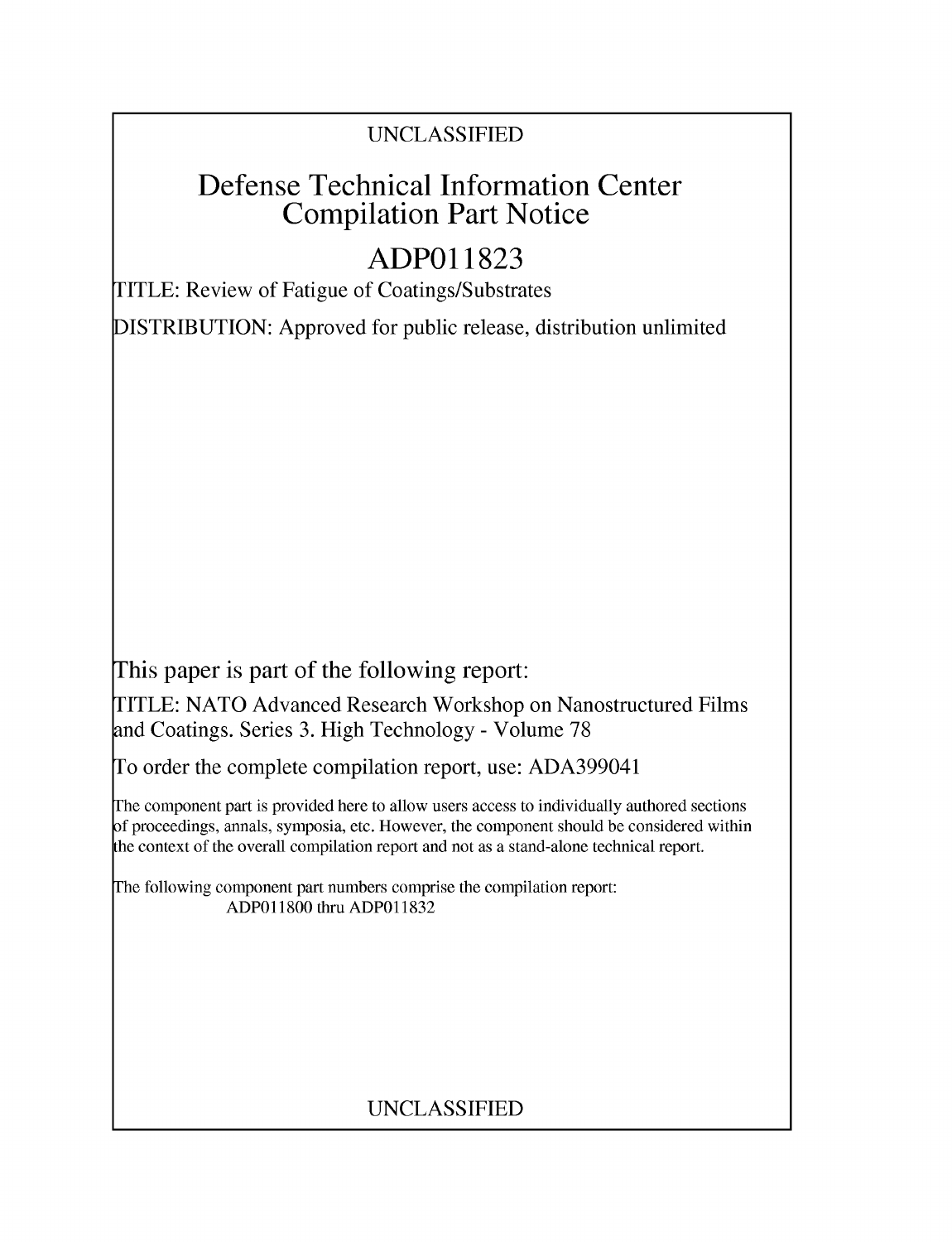# UNCLASSIFIED

# **Defense Technical Information Center Compilation Part Notice**

# **ADPO1 1823**

TITLE: Review of Fatigue of Coatings/Substrates

DISTRIBUTION: Approved for public release, distribution unlimited

This paper is part of the following report:

TITLE: NATO Advanced Research Workshop on Nanostructured Films and Coatings. Series 3. High Technology - Volume 78

To order the complete compilation report, use: ADA399041

The component part is provided here to allow users access to individually authored sections f proceedings, annals, symposia, etc. However, the component should be considered within [he context of the overall compilation report and not as a stand-alone technical report.

The following component part numbers comprise the compilation report: ADPO11800 thru ADP011832

# UNCLASSIFIED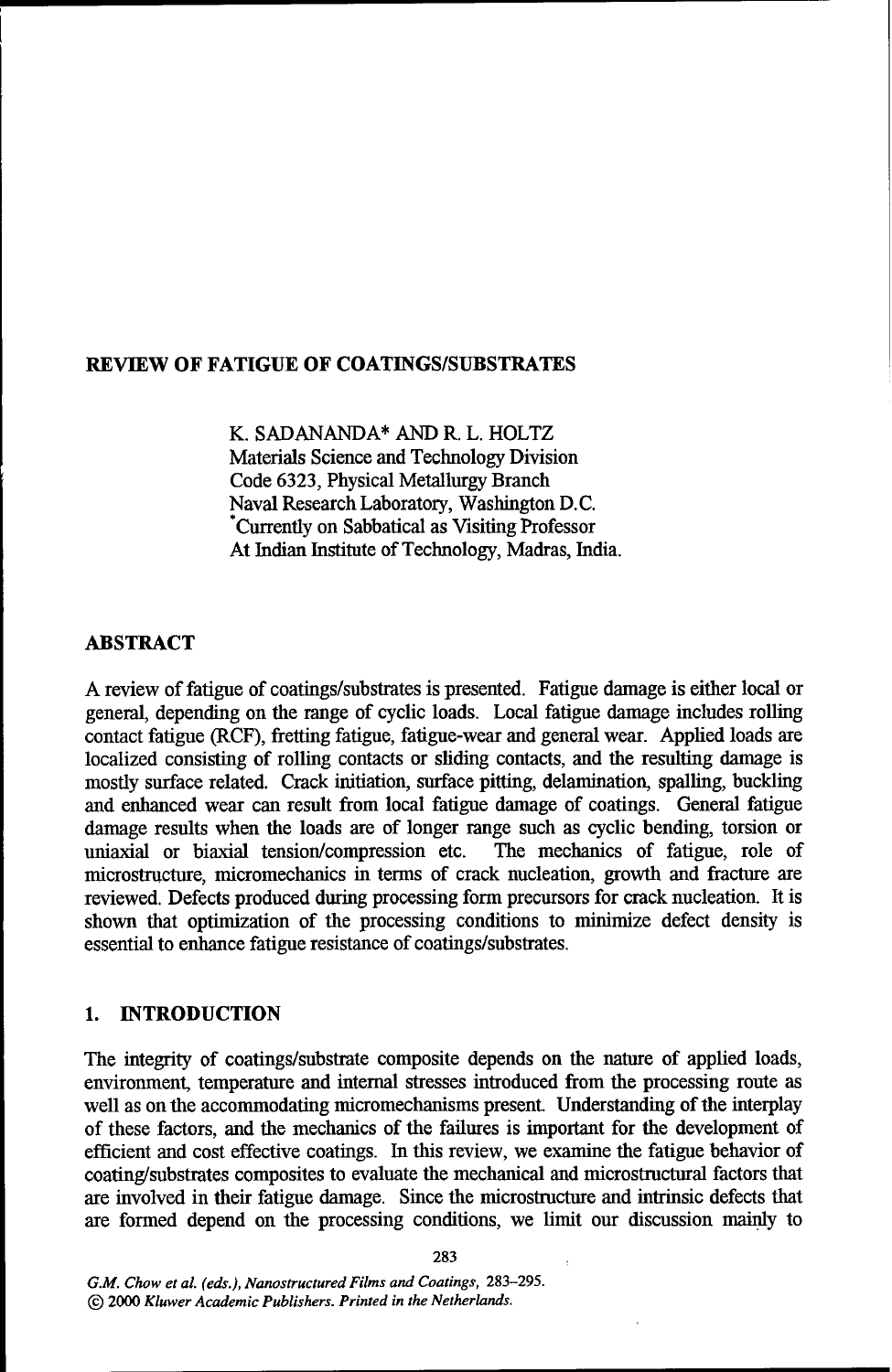## **REVIEW OF FATIGUE OF COATINGS/SUBSTRATES**

K. SADANANDA\* **AND** R. L. HOLTZ Materials Science and Technology Division Code 6323, Physical Metallurgy Branch Naval Research Laboratory, Washington D.C.  $*$ Currently on Sabbatical as Visiting Professor At Indian Institute of Technology, Madras, India.

# **ABSTRACT**

A review of fatigue of coatings/substrates is presented. Fatigue damage is either local or general, depending on the range of cyclic loads. Local fatigue damage includes rolling contact fatigue (RCF), fretting fatigue, fatigue-wear and general wear. Applied loads are localized consisting of rolling contacts or sliding contacts, and the resulting damage is mostly surface related. Crack initiation, surface pitting, delamination, spalling, buckling and enhanced wear can result from local fatigue damage of coatings. General fatigue damage results when the loads are of longer range such as cyclic bending, torsion or uniaxial or biaxial tension/compression etc. The mechanics of fatigue, role of microstructure, micromechanics in terms of crack nucleation, growth and fracture are reviewed. Defects produced during processing form precursors for crack nucleation. It is shown that optimization of the processing conditions to minimize defect density is essential to enhance fatigue resistance of coatings/substrates.

## **1. INTRODUCTION**

The integrity of coatings/substrate composite depends on the nature of applied loads, environment, temperature and internal stresses introduced from the processing route as well as on the accommodating micromechanisms present. Understanding of the interplay of these factors, and the mechanics of the failures is important for the development of efficient and cost effective coatings. In this review, we examine the fatigue behavior of coating/substrates composites to evaluate the mechanical and microstructural factors that are involved in their fatigue damage. Since the microstructure and intrinsic defects that are formed depend on the processing conditions, we limit our discussion mainly to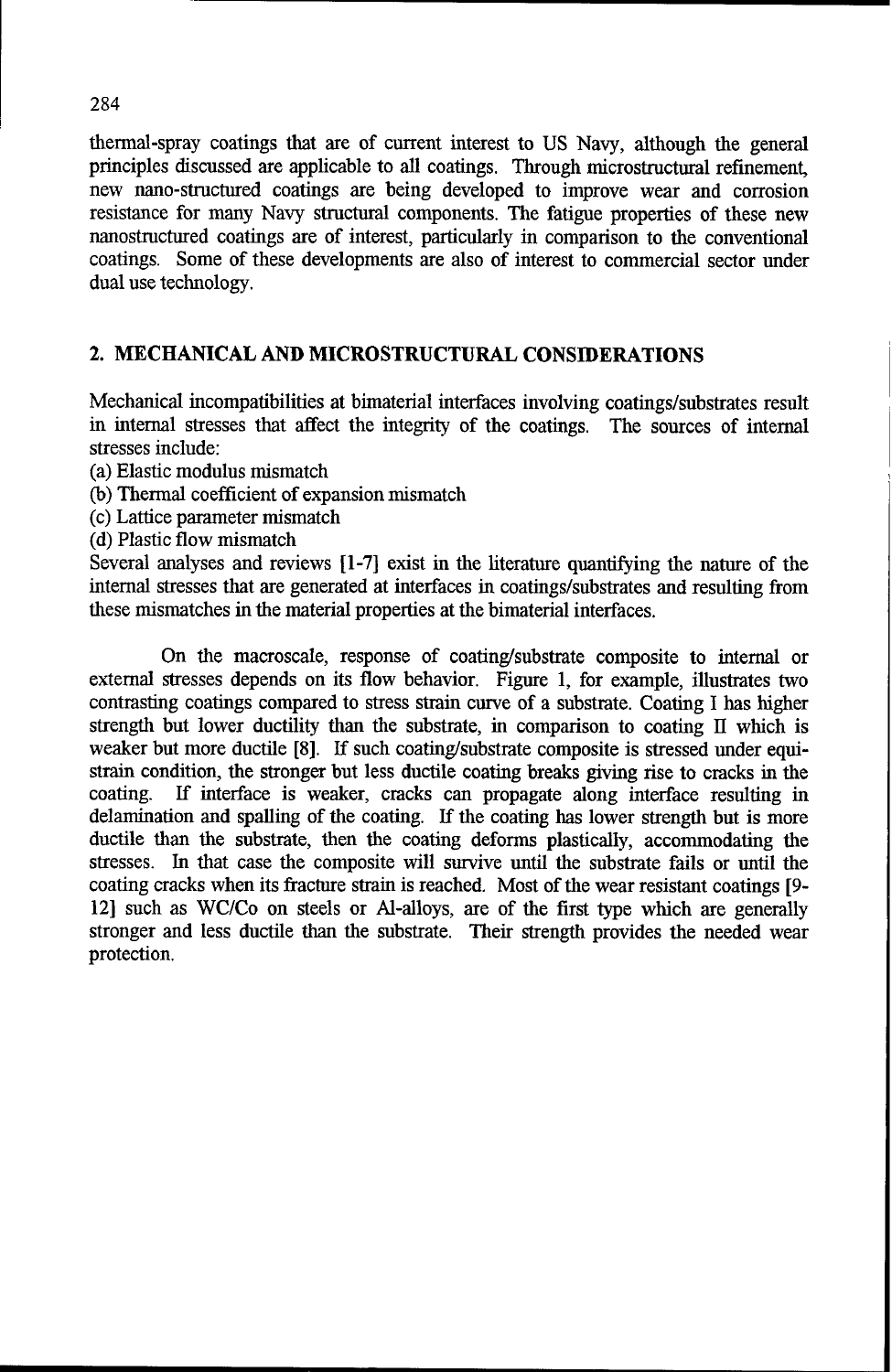thermal-spray coatings that are of current interest to US Navy, although the general principles discussed are applicable to all coatings. Through microstructural refinement, new nano-structured coatings are being developed to improve wear and corrosion resistance for many Navy structural components. The fatigue properties of these new nanostructured coatings are of interest, particularly in comparison to the conventional coatings. Some of these developments are also of interest to commercial sector under dual use technology.

# **2. MECHANICAL AND MICROSTRUCTURAL CONSIDERATIONS**

Mechanical incompatibilities at bimaterial interfaces involving coatings/substrates result in internal stresses that affect the integrity of the coatings. The sources of internal stresses include:

(a) Elastic modulus mismatch

- (b) Thermal coefficient of expansion mismatch
- (c) Lattice parameter mismatch

(d) Plastic flow mismatch

Several analyses and reviews [1-7] exist in the literature quantifying the nature of the internal stresses that are generated at interfaces in coatings/substrates and resulting from these mismatches in the material properties at the bimaterial interfaces.

On the macroscale, response of coating/substrate composite to internal or external stresses depends on its flow behavior. Figure 1, for example, illustrates two contrasting coatings compared to stress strain curve of a substrate. Coating I has higher strength but lower ductility than the substrate, in comparison to coating II which is weaker but more ductile [8]. If such coating/substrate composite is stressed under equistrain condition, the stronger but less ductile coating breaks giving rise to cracks in the coating. If interface is weaker, cracks can propagate along interface resulting in delamination and spalling of the coating. If the coating has lower strength but is more ductile than the substrate, then the coating deforms plastically, accommodating the stresses. In that case the composite will survive until the substrate fails or until the coating cracks when its fracture strain is reached. Most of the wear resistant coatings [9- 12] such as WC/Co on steels or Al-alloys, are of the first type which are generally stronger and less ductile than the substrate. Their strength provides the needed wear protection.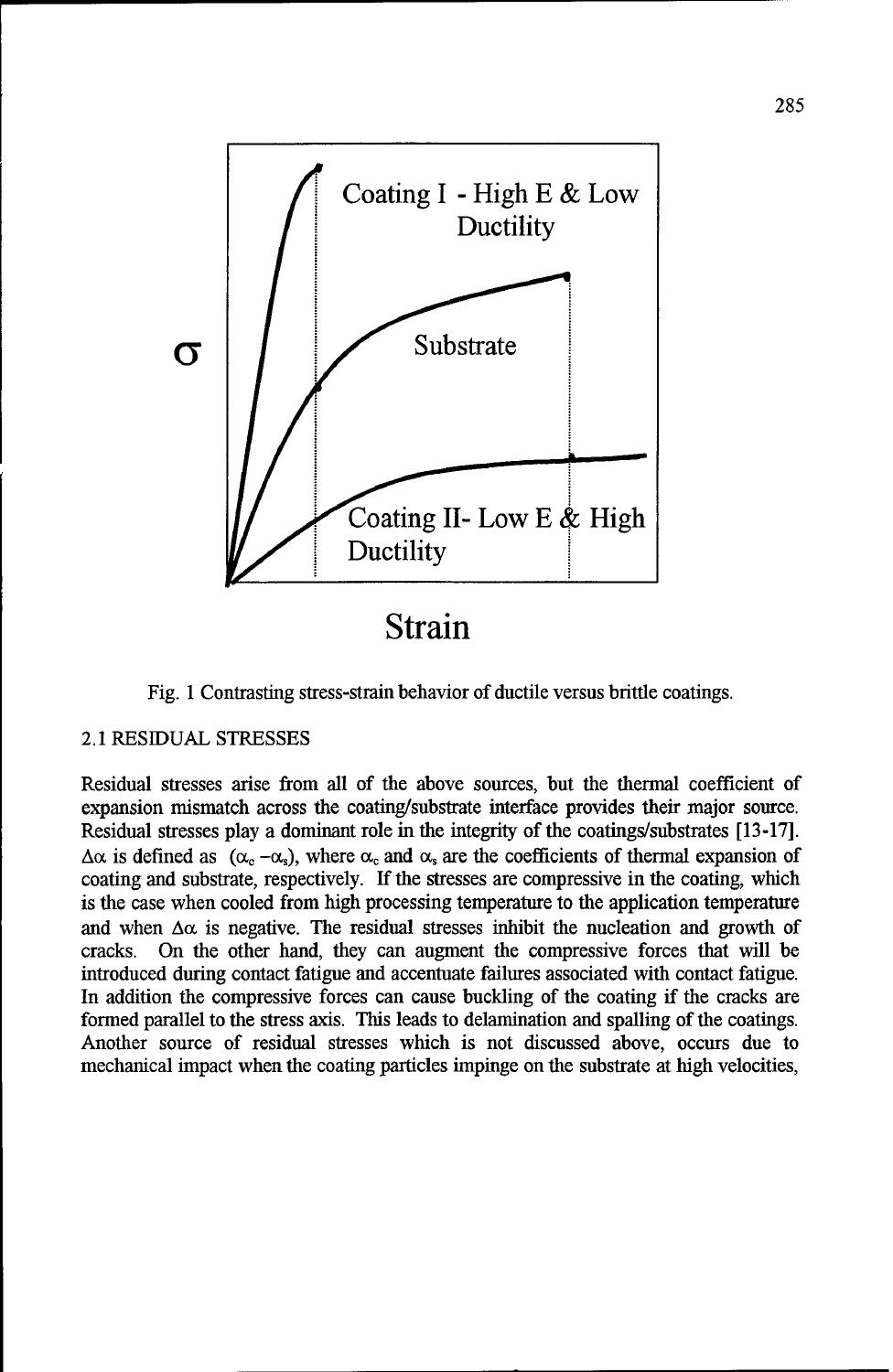

**Strain**

Fig. 1 Contrasting stress-strain behavior of ductile versus brittle coatings.

## 2.1 RESIDUAL STRESSES

Residual stresses arise from all of the above sources, but the thermal coefficient of expansion mismatch across the coating/substrate interface provides their major source. Residual stresses play a dominant role in the integrity of the coatings/substrates [13-17].  $\Delta \alpha$  is defined as  $(\alpha_c - \alpha_s)$ , where  $\alpha_c$  and  $\alpha_s$  are the coefficients of thermal expansion of coating and substrate, respectively. **If** the stresses are compressive in the coating, which is the case when cooled from high processing temperature to the application temperature and when  $\Delta \alpha$  is negative. The residual stresses inhibit the nucleation and growth of cracks. On the other hand, they can augment the compressive forces that will be introduced during contact fatigue and accentuate failures associated with contact fatigue. In addition the compressive forces can cause buckling of the coating if the cracks are formed parallel to the stress axis. This leads to delamination and spalling of the coatings. Another source of residual stresses which is not discussed above, occurs due to mechanical impact when the coating particles impinge on the substrate at high velocities,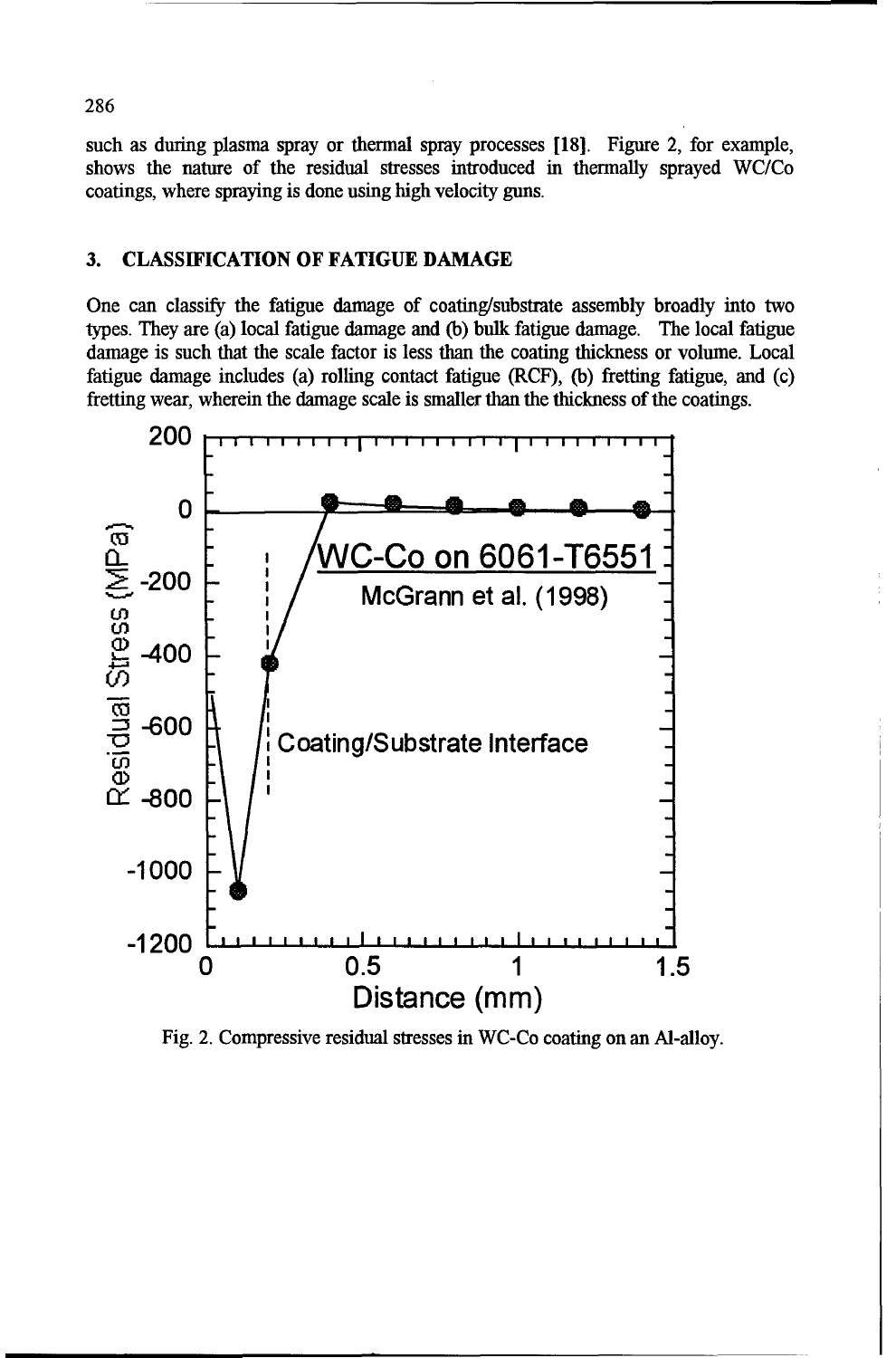such as during plasma spray or thermal spray processes [18]. Figure 2, for example, shows the nature of the residual stresses introduced in thermally sprayed WC/Co coatings, where spraying is done using high velocity guns.

#### 3. CLASSIFICATION OF FATIGUE DAMAGE

One can classify the fatigue damage of coating/substrate assembly broadly into two types. They are (a) local fatigue damage and (b) bulk fatigue damage. The local fatigue damage is such that the scale factor is less than the coating thickness or volume. Local fatigue damage includes (a) rolling contact fatigue (RCF), (b) fretting fatigue, and (c) fretting wear, wherein the damage scale is smaller than the thickness of the coatings.



Fig. 2. Compressive residual stresses in WC-Co coating on an Al-alloy.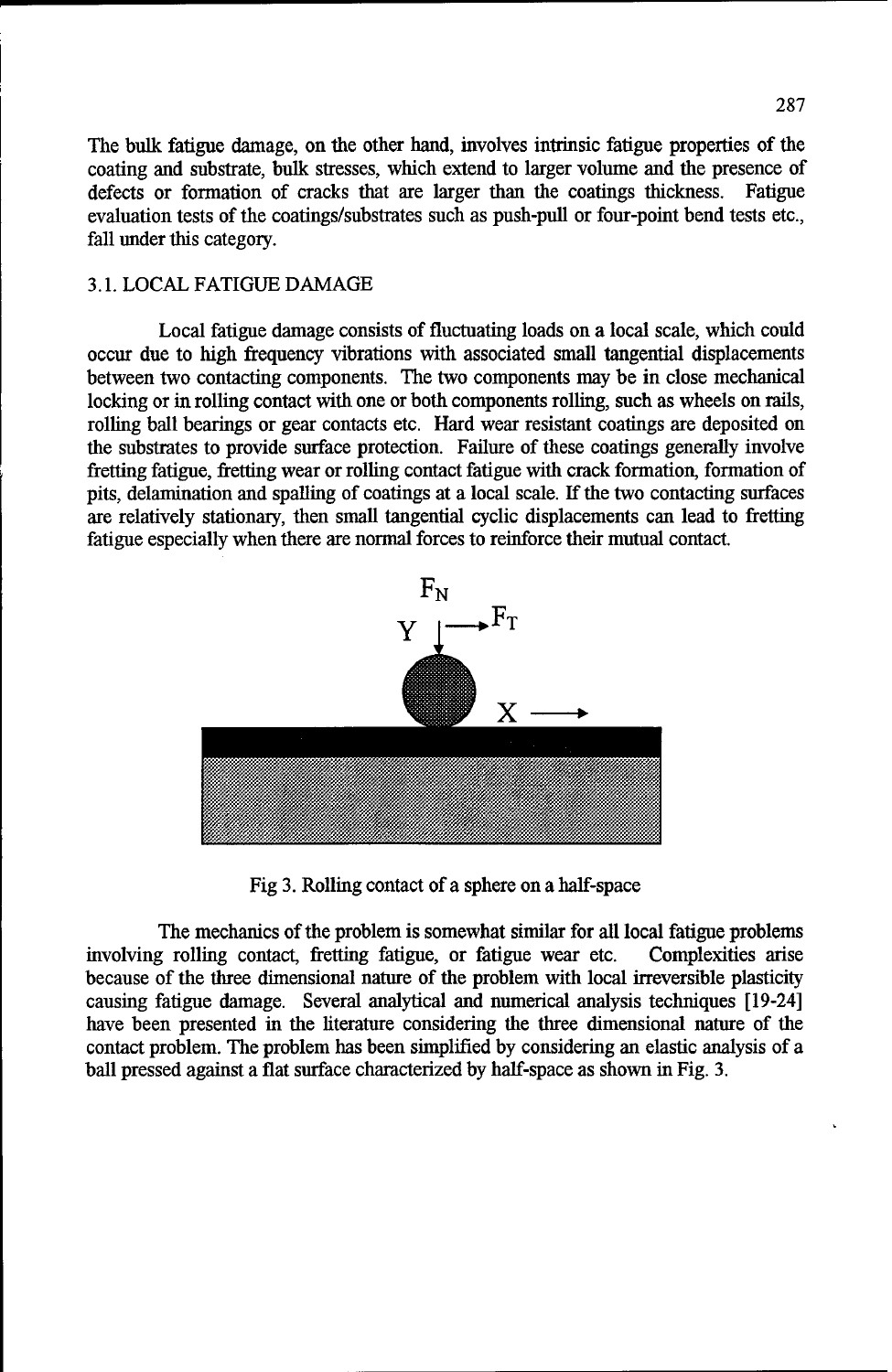The bulk fatigue damage, on the other hand, involves intrinsic fatigue properties of the coating and substrate, bulk stresses, which extend to larger volume and the presence of defects or formation of cracks that are larger than the coatings thickness. Fatigue  $defects$  or formation of cracks that are larger than the coatings thickness. evaluation tests of the coatings/substrates such as push-pull or four-point bend tests etc., fall under this category.

#### 3.1. LOCAL FATIGUE DAMAGE

Local fatigue damage consists of fluctuating loads on a local scale, which could occur due to high frequency vibrations with associated small tangential displacements between two contacting components. The two components may be in close mechanical locking or in rolling contact with one or both components rolling, such as wheels on rails, rolling ball bearings or gear contacts etc. Hard wear resistant coatings are deposited on the substrates to provide surface protection. Failure of these coatings generally involve fretting fatigue, fretting wear or rolling contact fatigue with crack formation, formation of pits, delamination and spalling of coatings at a local scale. If the two contacting surfaces are relatively stationary, then small tangential cyclic displacements can lead to fretting fatigue especially when there are normal forces to reinforce their mutual contact.



Fig 3. Rolling contact of a sphere on a half-space

The mechanics of the problem is somewhat similar for all local fatigue problems involving rolling contact, fretting fatigue, or fatigue wear etc. Complexities arise because of the three dimensional nature of the problem with local irreversible plasticity causing fatigue damage. Several analytical and numerical analysis techniques [19-24] have been presented in the literature considering the three dimensional nature of the contact problem. The problem has been simplified by considering an elastic analysis of a ball pressed against a flat surface characterized by half-space as shown in Fig. 3.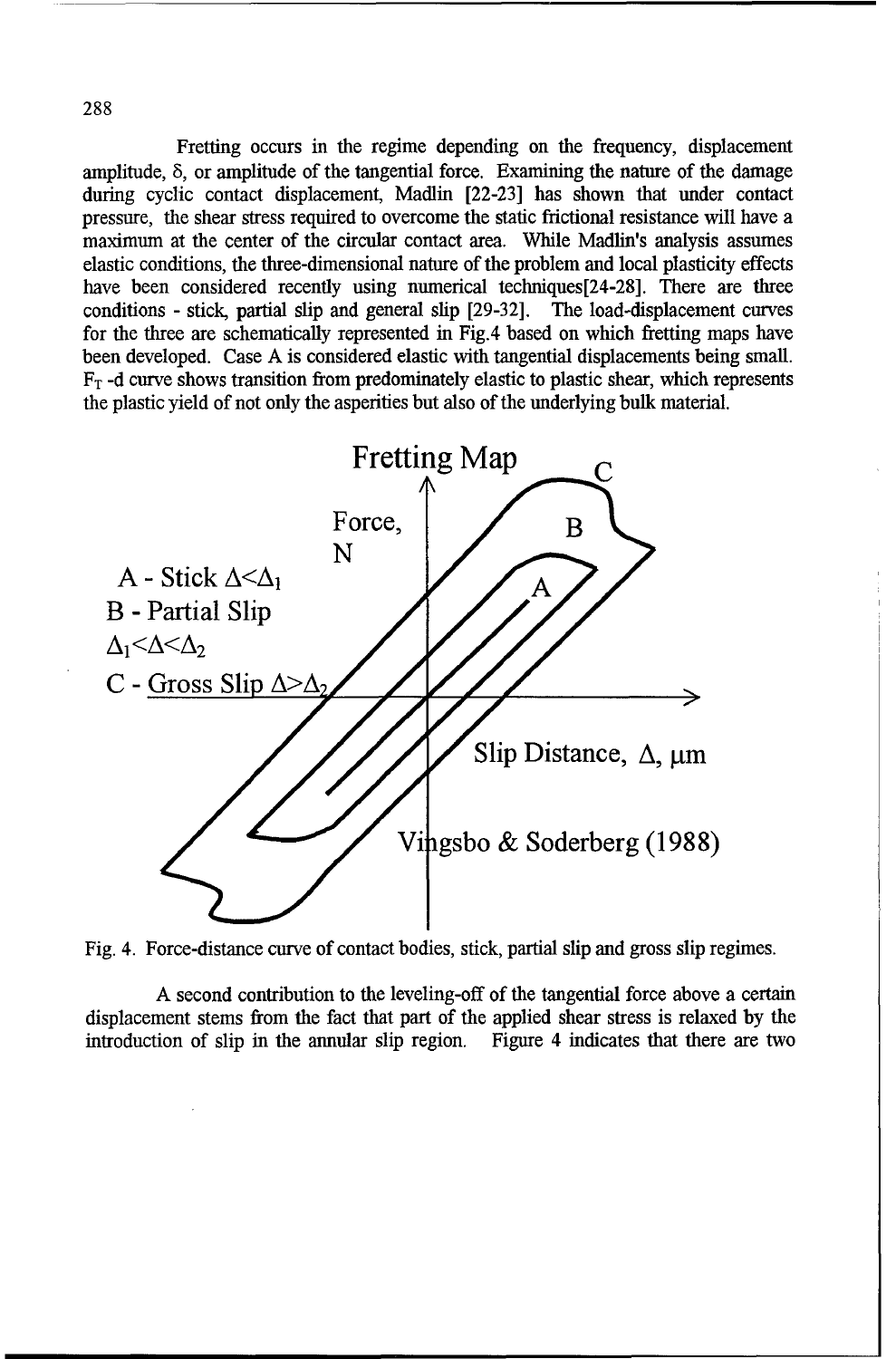Fretting occurs in the regime depending on the frequency, displacement amplitude, **8,** or amplitude of the tangential force. Examining the nature of the damage during cyclic contact displacement, Madlin [22-23] has shown that under contact pressure, the shear stress required to overcome the static frictional resistance will have a maximum at the center of the circular contact area. While Madlin's analysis assumes elastic conditions, the three-dimensional nature of the problem and local plasticity effects have been considered recently using numerical techniques [24-28]. There are three conditions - stick, partial slip and general slip [29-32]. The load-displacement curves for the three are schematically represented in Fig.4 based on which fretting maps have been developed. Case A is considered elastic with tangential displacements being small.  $F<sub>T</sub>$  -d curve shows transition from predominately elastic to plastic shear, which represents the plastic yield of not only the asperities but also of the underlying bulk material.



Fig. 4. Force-distance curve of contact bodies, stick, partial slip and gross slip regimes.

A second contribution to the leveling-off of the tangential force above a certain displacement stems from the fact that part of the applied shear stress is relaxed by the introduction of slip in the annular slip region. Figure 4 indicates that there are two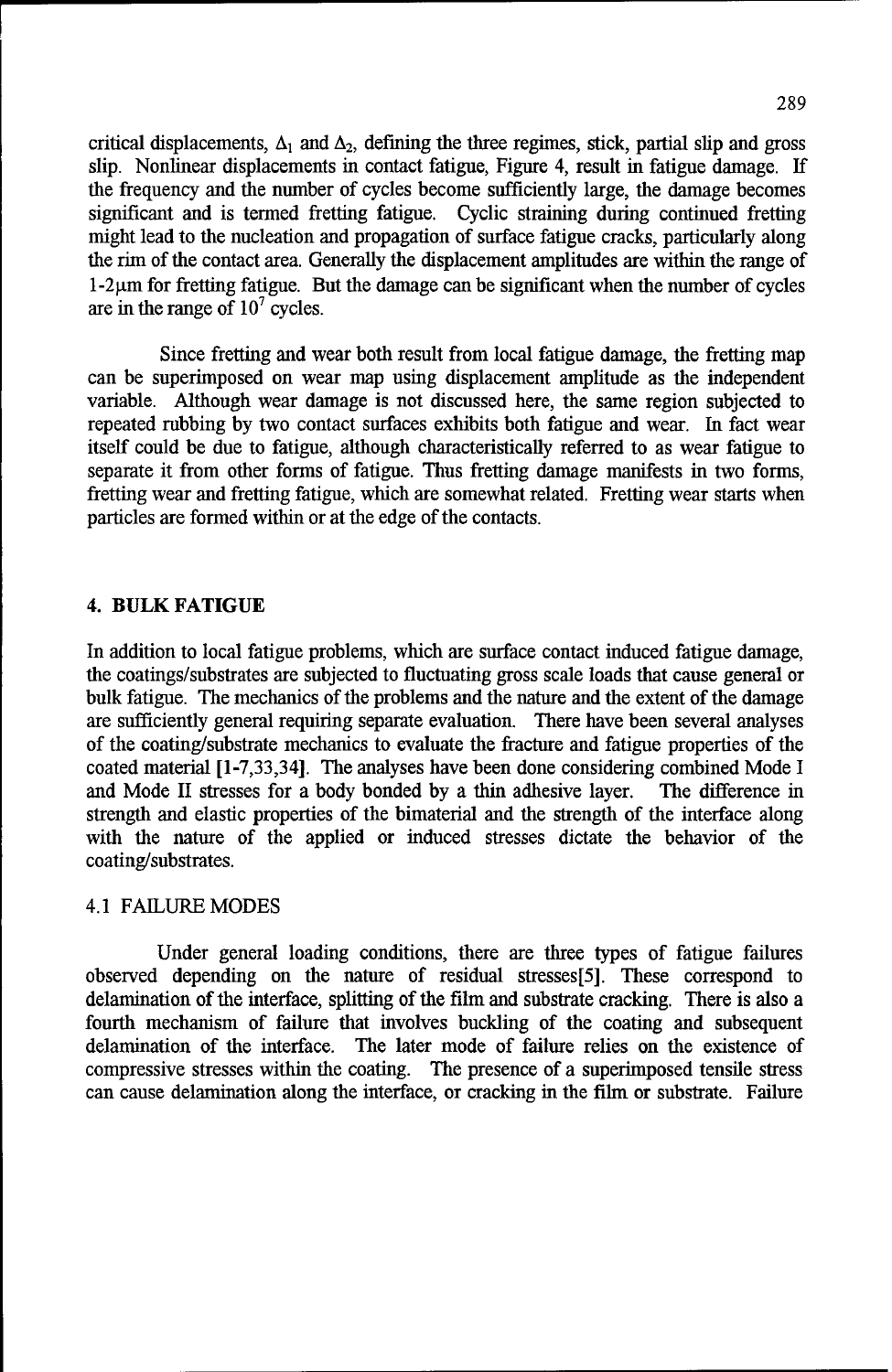critical displacements,  $\Delta_1$  and  $\Delta_2$ , defining the three regimes, stick, partial slip and gross slip. Nonlinear displacements in contact fatigue, Figure 4, result in fatigue damage. If the frequency and the number of cycles become sufficiently large, the damage becomes significant and is termed fretting fatigue. Cyclic straining during continued fretting might lead to the nucleation and propagation of surface fatigue cracks, particularly along the rim of the contact area. Generally the displacement amplitudes are within the range of 1-2 tm for fretting fatigue. But the damage can be significant when the number of cycles are in the range of **107** cycles.

Since fretting and wear both result from local fatigue damage, the fretting map can be superimposed on wear map using displacement amplitude as the independent variable. Although wear damage is not discussed here, the same region subjected to repeated rubbing by two contact surfaces exhibits both fatigue and wear. In fact wear itself could be due to fatigue, although characteristically referred to as wear fatigue to separate it from other forms of fatigue. Thus fretting damage manifests in two forms, fretting wear and fretting fatigue, which are somewhat related. Fretting wear starts when particles are formed within or at the edge of the contacts.

#### **4. BULK FATIGUE**

In addition to local fatigue problems, which are surface contact induced fatigue damage, the coatings/substrates are subjected to fluctuating gross scale loads that cause general or bulk fatigue. The mechanics of the problems and the nature and the extent of the damage are sufficiently general requiring separate evaluation. There have been several analyses of the coating/substrate mechanics to evaluate the fracture and fatigue properties of the coated material [1-7,33,34]. The analyses have been done considering combined Mode I and Mode II stresses for a body bonded by a thin adhesive layer. The difference in strength and elastic properties of the bimaterial and the strength of the interface along with the nature of the applied or induced stresses dictate the behavior of the coating/substrates.

#### 4.1 FAILURE MODES

Under general loading conditions, there are three types of fatigue failures observed depending on the nature of residual stresses[5]. These correspond to delamination of the interface, splitting of the film and substrate cracking. There is also a fourth mechanism of failure that involves buckling of the coating and subsequent delamination of the interface. The later mode of failure relies on the existence of compressive stresses within the coating. The presence of a superimposed tensile stress can cause delamination along the interface, or cracking in the film or substrate. Failure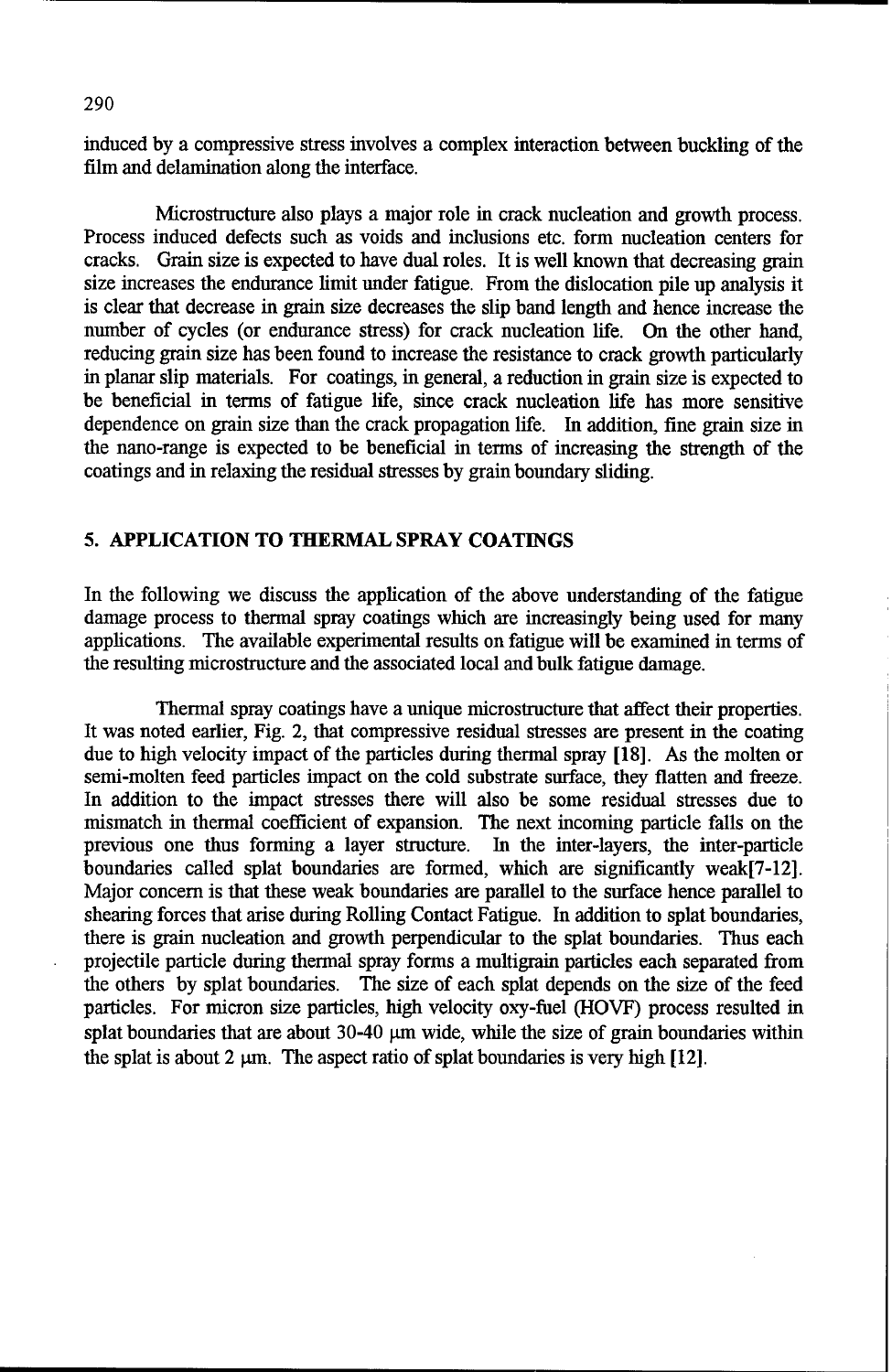induced by a compressive stress involves a complex interaction between buckling of the film and delamination along the interface.

Microstructure also plays a major role in crack nucleation and growth process. Process induced defects such as voids and inclusions etc. form nucleation centers for cracks. Grain size is expected to have dual roles. It is well known that decreasing grain size increases the endurance limit under fatigue. From the dislocation pile up analysis it is clear that decrease in grain size decreases the slip band length and hence increase the number of cycles (or endurance stress) for crack nucleation life. On the other hand, reducing grain size has been found to increase the resistance to crack growth particularly in planar slip materials. For coatings, in general, a reduction in grain size is expected to be beneficial in terms of fatigue life, since crack nucleation life has more sensitive dependence on grain size than the crack propagation life. In addition, fine grain size in the nano-range is expected to be beneficial in terms of increasing the strength of the coatings and in relaxing the residual stresses by grain boundary sliding.

# **5. APPLICATION TO THERMAL SPRAY COATINGS**

In the following we discuss the application of the above understanding of the fatigue damage process to thermal spray coatings which are increasingly being used for many applications. The available experimental results on fatigue will be examined in terms of the resulting microstructure and the associated local and bulk fatigue damage.

Thermal spray coatings have a unique microstructure that affect their properties. It was noted earlier, Fig. 2, that compressive residual stresses are present in the coating due to high velocity impact of the particles during thermal spray [18]. As the molten or semi-molten feed particles impact on the cold substrate surface, they flatten and freeze. In addition to the impact stresses there will also be some residual stresses due to mismatch in thermal coefficient of expansion. The next incoming particle falls on the previous one thus forming a layer structure. In the inter-layers, the inter-particle boundaries called splat boundaries are formed, which are significantly weak[7-12]. Major concern is that these weak boundaries are parallel to the surface hence parallel to shearing forces that arise during Rolling Contact Fatigue. In addition to splat boundaries, there is grain nucleation and growth perpendicular to the splat boundaries. Thus each projectile particle during thermal spray forms a multigrain particles each separated from the others by splat boundaries. The size of each splat depends on the size of the feed particles. For micron size particles, high velocity oxy-fuel (HOVF) process resulted in splat boundaries that are about  $30-40$  µm wide, while the size of grain boundaries within the splat is about 2  $\mu$ m. The aspect ratio of splat boundaries is very high [12].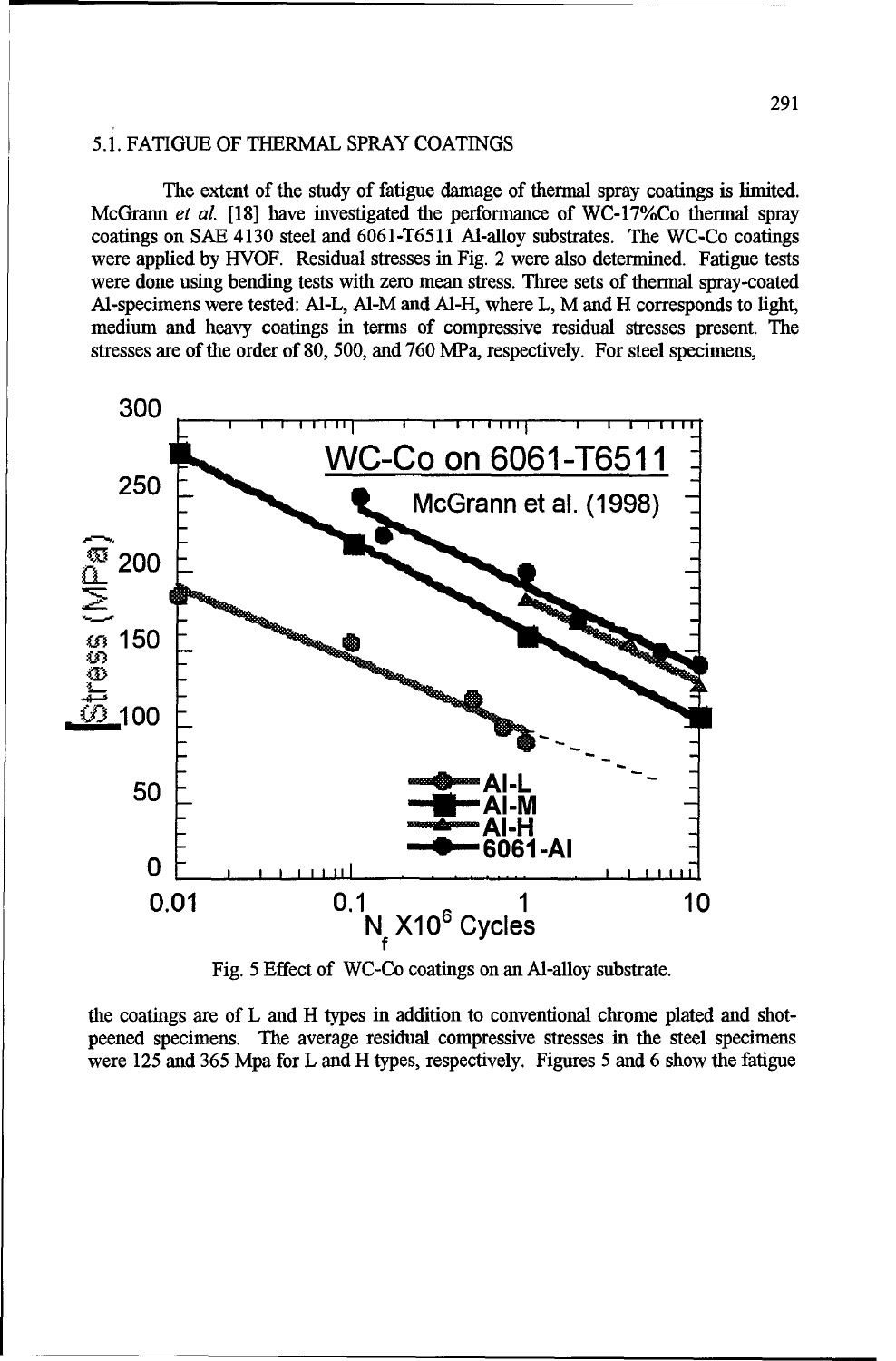#### *5.1.* FATIGUE OF THERMAL SPRAY COATINGS

The extent of the study of fatigue damage of thermal spray coatings is limited. McGrann et al. [18] have investigated the performance of WC-17%Co thermal spray coatings on SAE 4130 steel and 6061-T6511 Al-alloy substrates. The WC-Co coatings were applied by HVOF. Residual stresses in Fig. 2 were also determined. Fatigue tests were done using bending tests with zero mean stress. Three sets of thermal spray-coated Al-specimens were tested: A1-L, Al-M and Al-H, where L, M and H corresponds to light, medium and heavy coatings in terms of compressive residual stresses present. The stresses are of the order of 80, 500, and 760 MPa, respectively. For steel specimens,



Fig. 5 Effect of WC-Co coatings on an Al-alloy substrate.

the coatings are of L and H types in addition to conventional chrome plated and shotpeened specimens. The average residual compressive stresses in the steel specimens were 125 and 365 Mpa for L and H types, respectively. Figures 5 and 6 show the fatigue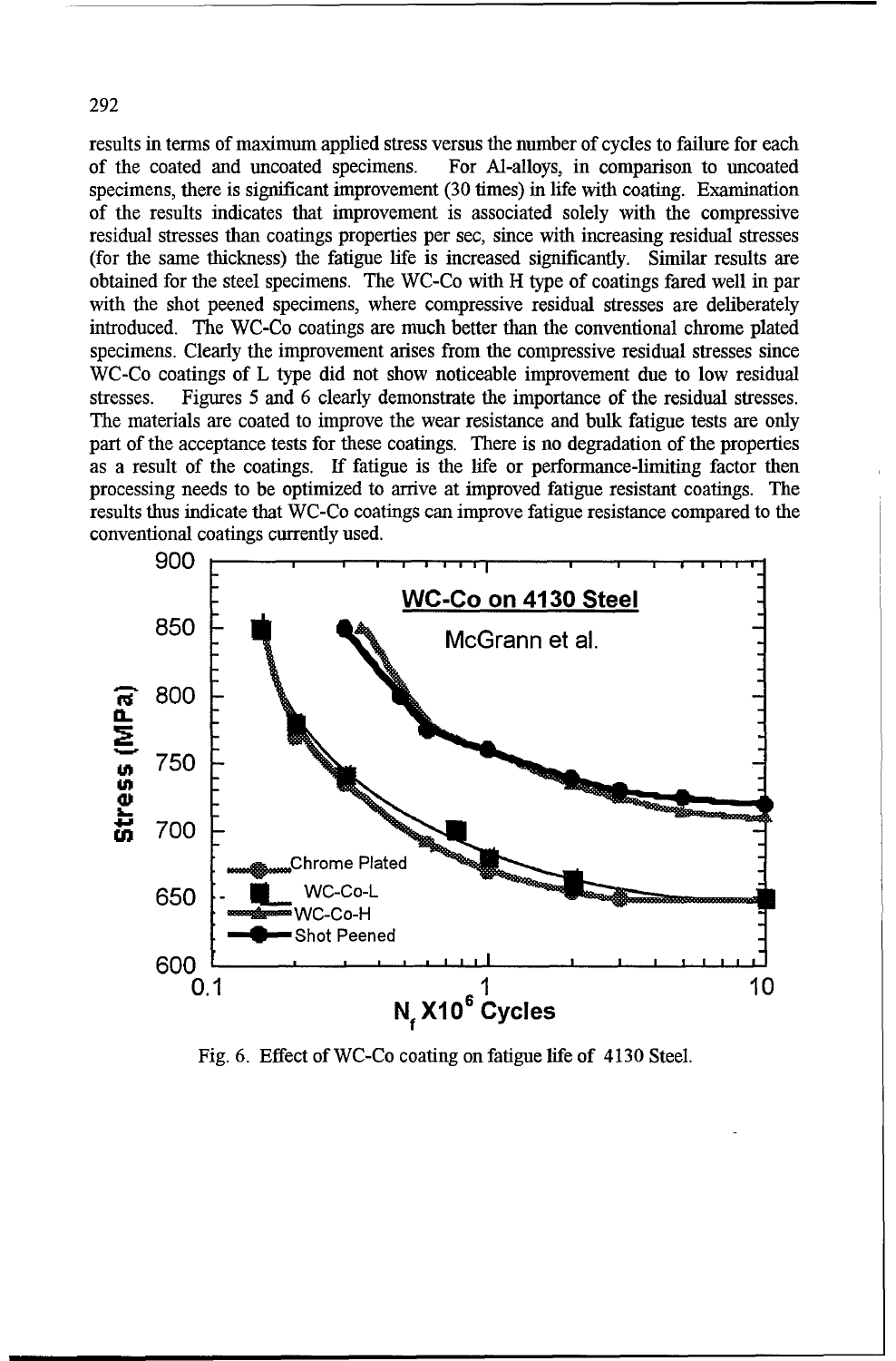results in terms of maximum applied stress versus the number of cycles to failure for each of the coated and uncoated specimens. For Al-alloys, in comparison to uncoated For Al-alloys, in comparison to uncoated specimens, there is significant improvement (30 times) in life with coating. Examination of the results indicates that improvement is associated solely with the compressive residual stresses than coatings properties per sec, since with increasing residual stresses (for the same thickness) the fatigue life is increased significantly. Similar results are obtained for the steel specimens. The WC-Co with H type of coatings fared well in par with the shot peened specimens, where compressive residual stresses are deliberately introduced. The WC-Co coatings are much better than the conventional chrome plated specimens. Clearly the improvement arises from the compressive residual stresses since WC-Co coatings of L type did not show noticeable improvement due to low residual stresses. Figures 5 and 6 clearly demonstrate the importance of the residual stresses. The materials are coated to improve the wear resistance and bulk fatigue tests are only part of the acceptance tests for these coatings. There is no degradation of the properties as a result of the coatings. **If** fatigue is the life or performance-limiting factor then processing needs to be optimized to arrive at improved fatigue resistant coatings. The results thus indicate that WC-Co coatings can improve fatigue resistance compared to the conventional coatings currently used.



Fig. 6. Effect of WC-Co coating on fatigue life of 4130 Steel.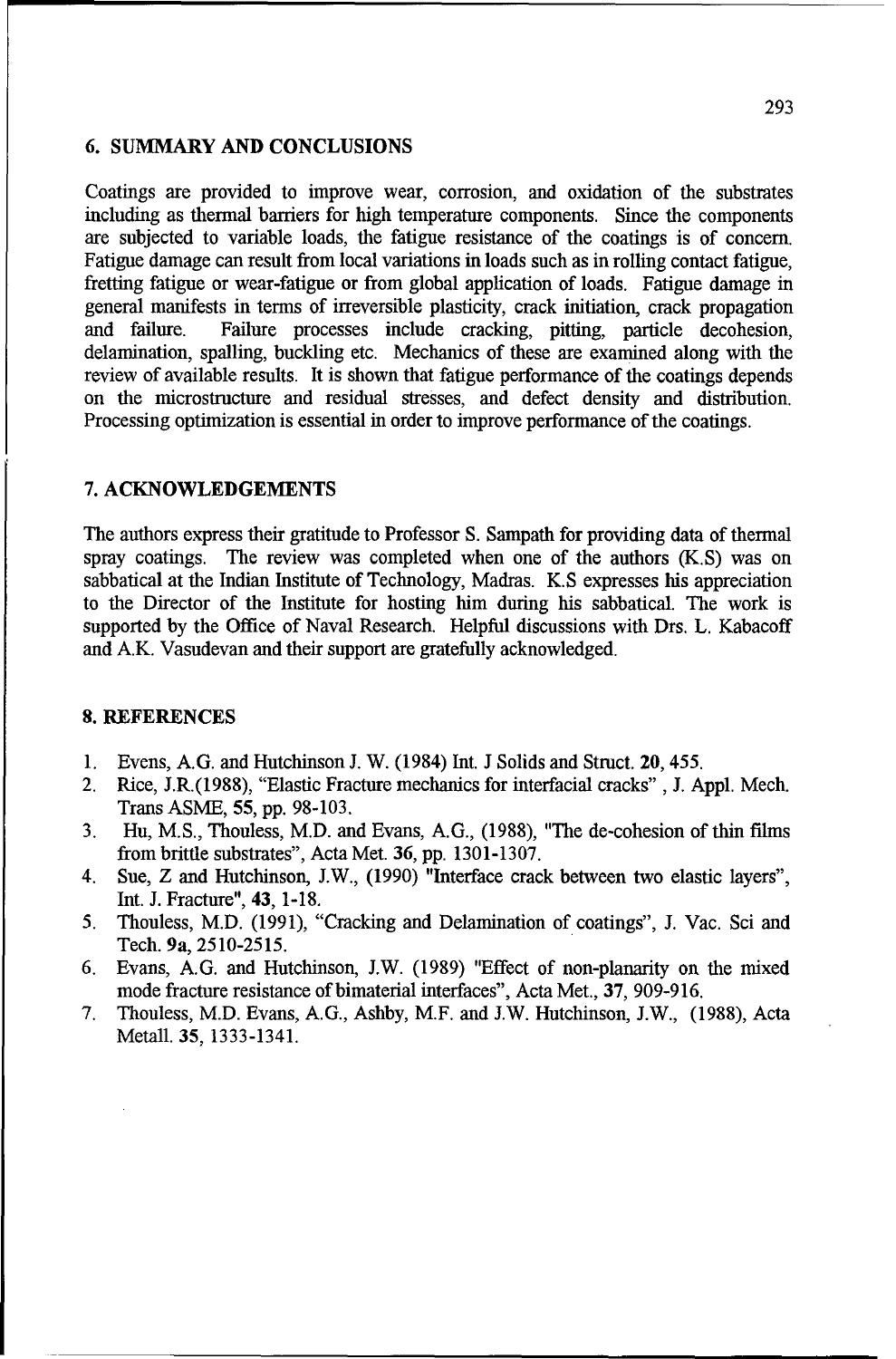#### **6. SUMMARY AND CONCLUSIONS**

Coatings are provided to improve wear, corrosion, and oxidation of the substrates including as thermal barriers for high temperature components. Since the components are subjected to variable loads, the fatigue resistance of the coatings is of concern. Fatigue damage can result from local variations in loads such as in rolling contact fatigue, fretting fatigue or wear-fatigue or from global application of loads. Fatigue damage in general manifests in terms of irreversible plasticity, crack initiation, crack propagation and failure. Failure processes include cracking, pitting, particle decohesion, delamination, spalling, buckling etc. Mechanics of these are examined along with the review of available results. It is shown that fatigue performance of the coatings depends on the microstmcture and residual stresses, and defect density and distribution. Processing optimization is essential in order to improve performance of the coatings.

#### **7. ACKNOWLEDGEMENTS**

The authors express their gratitude to Professor S. Sampath for providing data of thermal spray coatings. The review was completed when one of the authors  $(K.S)$  was on sabbatical at the Indian Institute of Technology, Madras. K.S expresses his appreciation to the Director of the Institute for hosting him during his sabbatical. The work is supported by the Office of Naval Research. Helpful discussions with Drs. L. Kabacoff and A.K. Vasudevan and their support are gratefully acknowledged.

## **8. REFERENCES**

- 1. Evens, A.G. and Hutchinson J. W. (1984) Int. **J** Solids and Struct. 20, 455.
- 2. Rice, J.R.(1988), "Elastic Fracture mechanics for interfacial cracks" , **J.** Appl. Mech. Trans ASME, **55,** pp. 98-103.
- 3. Hu, M.S., Thouless, M.D. and Evans, A.G., (1988), "The de-cohesion of thin films from brittle substrates", Acta Met. **36,** pp. 1301-1307.
- 4. Sue, Z and Hutchinson, J.W., (1990) "Interface crack between two elastic layers", Int. **J.** Fracture", 43, 1-18.
- 5. Thouless, M.D. (1991), "Cracking and Delamination of coatings", **J.** Vac. Sci and Tech. 9a, **2510-2515.**
- 6. Evans, A.G. and Hutchinson, J.W. (1989) "Effect of non-planarity on the mixed mode fracture resistance of bimaterial interfaces", Acta Met., 37, 909-916.
- 7. Thouless, M.D. Evans, A.G., Ashby, M.F. and J.W. Hutchinson, J.W., (1988), Acta Metall. **35,** 1333-1341.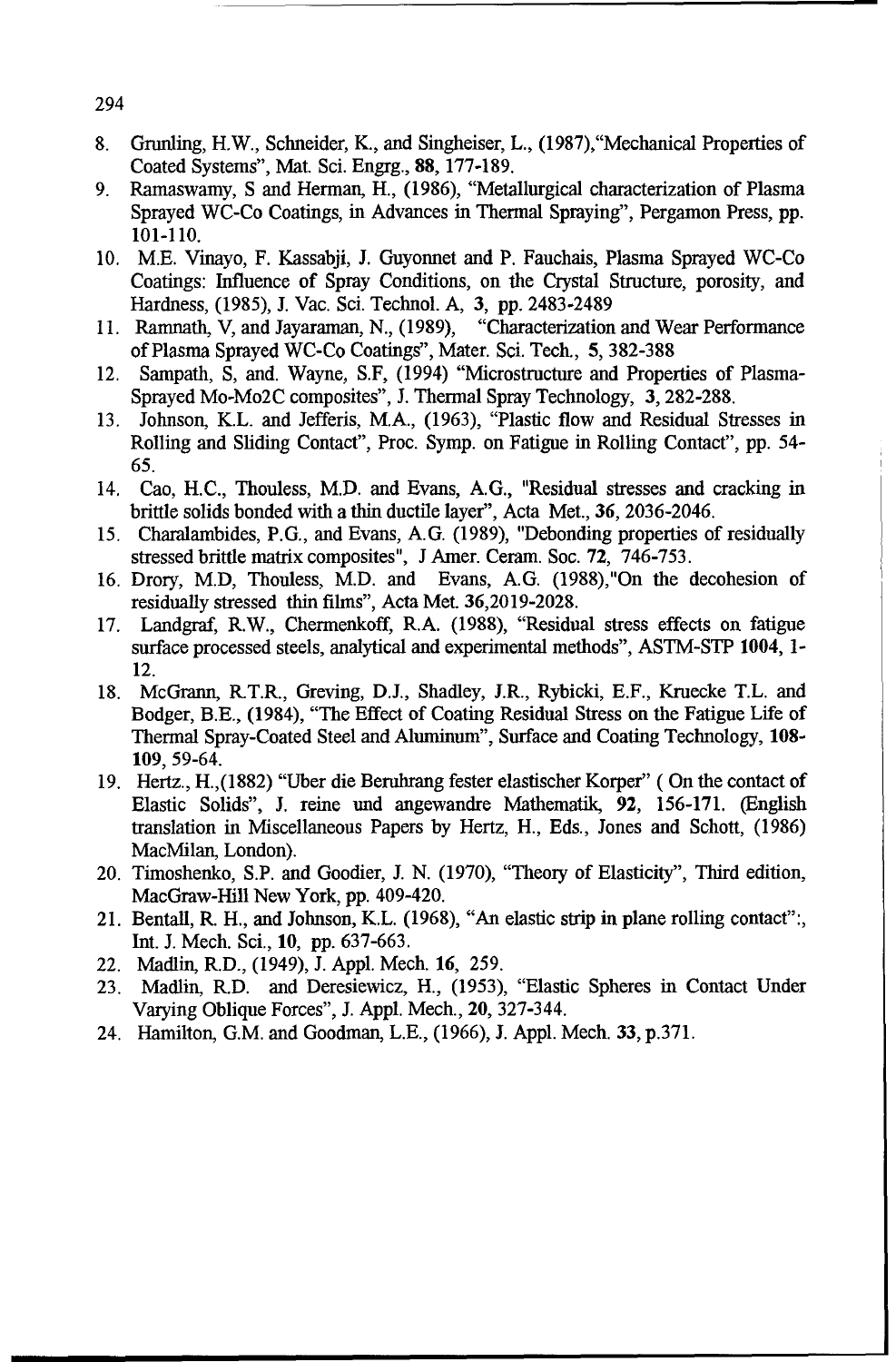- 8. Grunling, H.W., Schneider, K., and Singheiser, L., (1987),"Mechanical Properties of Coated Systems", Mat. Sci. Engrg., 88, 177-189.
- 9. Ramaswamy, S and Herman, H., (1986), "Metallurgical characterization of Plasma Sprayed WC-Co Coatings, in Advances in Thermal Spraying", Pergamon Press, pp. 101-110.
- 10. M.E. Vinayo, F. Kassabji, J. Guyonnet and P. Fauchais, Plasma Sprayed WC-Co Coatings: Influence of Spray Conditions, on the Crystal Structure, porosity, and Hardness, (1985), J. Vac. Sci. Technol. A, 3, pp. 2483-2489
- 11. Ramnath, V, and Jayaraman, N., (1989), "Characterization and Wear Performance of Plasma Sprayed WC-Co Coatings", Mater. Sci. Tech., 5, 382-388
- 12. Sampath, **S,** and. Wayne, S.F, (1994) "Microstructure and Properties of Plasma-Sprayed Mo-Mo2C composites", J. Thermal Spray Technology, 3, 282-288.
- 13. Johnson, K.L. and Jefferis, M.A., (1963), "Plastic flow and Residual Stresses in Rolling and Sliding Contact", Proc. Symp. on Fatigue in Rolling Contact", pp. 54- 65.
- 14. Cao, H.C., Thouless, M.D. and Evans, A.G., "Residual stresses and cracking in brittle solids bonded with a thin ductile layer", Acta Met., 36, 2036-2046.
- 15. Charalambides, P.G., and Evans, A.G. (1989), "Debonding properties of residually stressed brittle matrix composites", J Amer. Ceram. Soc. 72, 746-753.
- 16. Drory, M.D, Thouless, M.D. and Evans, A.G. (1988),"On the decohesion of residually stressed thin films", Acta Met. 36,2019-2028.
- 17. Landgraf, R.W., Chermenkoff, R.A. (1988), "Residual stress effects on fatigue surface processed steels, analytical and experimental methods", ASTM-STP 1004, 1- 12.
- 18. McGrann, R.T.R., Greving, D.J., Shadley, J.R., Rybicki, E.F., Kruecke T.L. and Bodger, B.E., (1984), "The Effect of Coating Residual Stress on the Fatigue Life of Thermal Spray-Coated Steel and Aluminum", Surface and Coating Technology, **108-** 109, 59-64.
- 19. Hertz., H.,(1882) "Uber die Beruhrang fester elastischer Korper" (On the contact of Elastic Solids", J. reine und angewandre Mathematik, 92, 156-171. (English translation in Miscellaneous Papers by Hertz, H., Eds., Jones and Schott, (1986) MacMilan, London).
- 20. Timoshenko, S.P. and Goodier, J. N. (1970), "Theory of Elasticity", Third edition, MacGraw-Hill New York, pp. 409-420.
- 21. Bentall, R. H., and Johnson, K.L. (1968), "An elastic strip in plane rolling contact":, Int. J. Mech. Sci., 10, pp. 637-663.
- 22. Madlin, R.D., (1949), J. Appl. Mech. **16,** 259.
- 23. Madlin, R.D. and Deresiewicz, H., (1953), "Elastic Spheres in Contact Under Varying Oblique Forces", J. Appl. Mech., 20, 327-344.
- 24. Hamilton, G.M. and Goodman, L.E., (1966), J. Appl. Mech. 33, p.371.